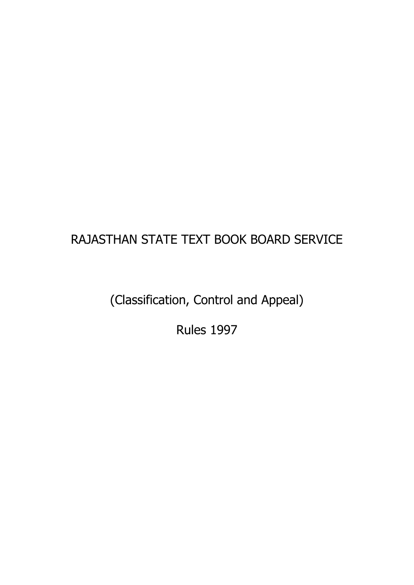# RAJASTHAN STATE TEXT BOOK BOARD SERVICE

(Classification, Control and Appeal)

Rules 1997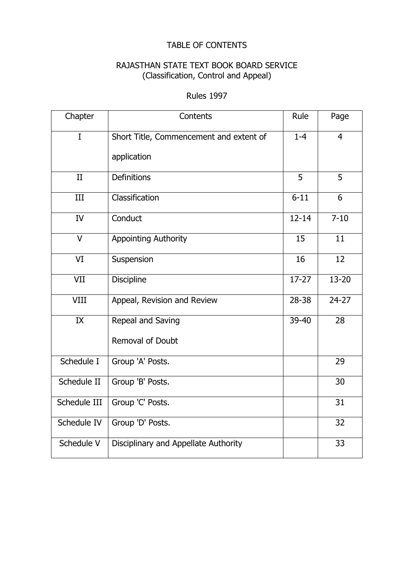### TABLE OF CONTENTS

### RAJASTHAN STATE TEXT BOOK BOARD SERVICE (Classification, Control and Appeal)

#### Rules 1997

| Chapter      | Contents                                | Rule      | Page           |
|--------------|-----------------------------------------|-----------|----------------|
| $\mathbf I$  | Short Title, Commencement and extent of | $1 - 4$   | $\overline{4}$ |
|              | application                             |           |                |
| II           | <b>Definitions</b>                      | 5         | 5              |
| III          | Classification                          | $6 - 11$  | 6              |
| IV           | Conduct                                 | $12 - 14$ | $7 - 10$       |
| $\vee$       | <b>Appointing Authority</b>             | 15        | 11             |
| VI           | Suspension                              | 16        | 12             |
| VII          | <b>Discipline</b>                       | $17 - 27$ | $13 - 20$      |
| VIII         | Appeal, Revision and Review             | $28 - 38$ | $24 - 27$      |
| IX           | Repeal and Saving                       | 39-40     | 28             |
|              | Removal of Doubt                        |           |                |
| Schedule I   | Group 'A' Posts.                        |           | 29             |
| Schedule II  | Group 'B' Posts.                        |           | 30             |
| Schedule III | Group 'C' Posts.                        |           | 31             |
| Schedule IV  | Group 'D' Posts.                        |           | 32             |
| Schedule V   | Disciplinary and Appellate Authority    |           | 33             |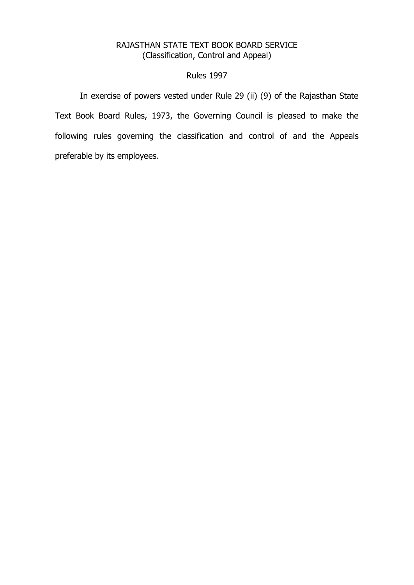#### RAJASTHAN STATE TEXT BOOK BOARD SERVICE (Classification, Control and Appeal)

#### Rules 1997

In exercise of powers vested under Rule 29 (ii) (9) of the Rajasthan State Text Book Board Rules, 1973, the Governing Council is pleased to make the following rules governing the classification and control of and the Appeals preferable by its employees.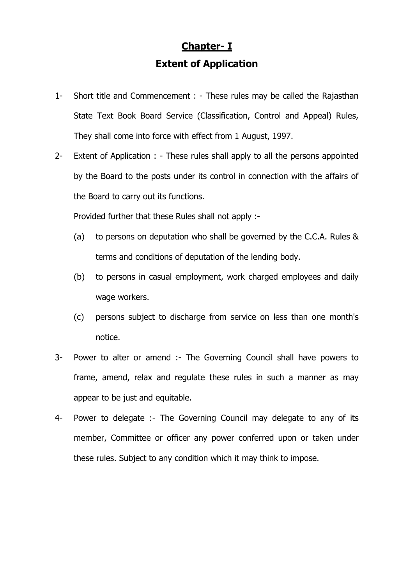## **Chapter- I Extent of Application**

- 1- Short title and Commencement : These rules may be called the Rajasthan State Text Book Board Service (Classification, Control and Appeal) Rules, They shall come into force with effect from 1 August, 1997.
- 2- Extent of Application : These rules shall apply to all the persons appointed by the Board to the posts under its control in connection with the affairs of the Board to carry out its functions.

Provided further that these Rules shall not apply :-

- (a) to persons on deputation who shall be governed by the C.C.A. Rules & terms and conditions of deputation of the lending body.
- (b) to persons in casual employment, work charged employees and daily wage workers.
- (c) persons subject to discharge from service on less than one month's notice.
- 3- Power to alter or amend :- The Governing Council shall have powers to frame, amend, relax and regulate these rules in such a manner as may appear to be just and equitable.
- 4- Power to delegate :- The Governing Council may delegate to any of its member, Committee or officer any power conferred upon or taken under these rules. Subject to any condition which it may think to impose.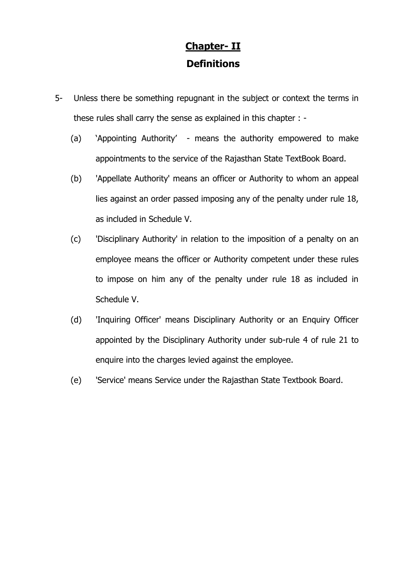## **Chapter- II Definitions**

- 5- Unless there be something repugnant in the subject or context the terms in these rules shall carry the sense as explained in this chapter : -
	- (a) 'Appointing Authority' means the authority empowered to make appointments to the service of the Rajasthan State TextBook Board.
	- (b) 'Appellate Authority' means an officer or Authority to whom an appeal lies against an order passed imposing any of the penalty under rule 18, as included in Schedule V.
	- (c) 'Disciplinary Authority' in relation to the imposition of a penalty on an employee means the officer or Authority competent under these rules to impose on him any of the penalty under rule 18 as included in Schedule V.
	- (d) 'Inquiring Officer' means Disciplinary Authority or an Enquiry Officer appointed by the Disciplinary Authority under sub-rule 4 of rule 21 to enquire into the charges levied against the employee.
	- (e) 'Service' means Service under the Rajasthan State Textbook Board.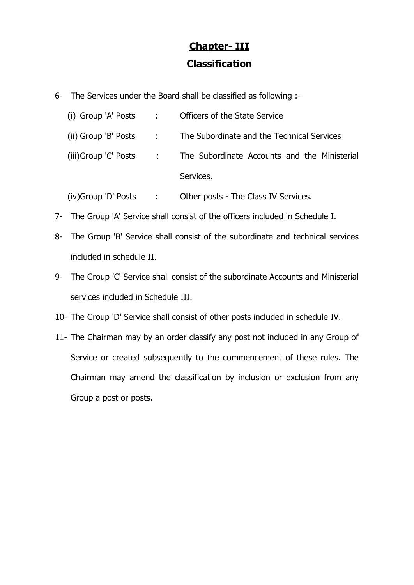# **Chapter- III Classification**

6- The Services under the Board shall be classified as following :-

|  | (i) Group 'A' Posts : Officers of the State Service                 |
|--|---------------------------------------------------------------------|
|  | (ii) Group 'B' Posts : The Subordinate and the Technical Services   |
|  | (iii)Group 'C' Posts : The Subordinate Accounts and the Ministerial |
|  | Services.                                                           |

- (iv)Group 'D' Posts : Other posts The Class IV Services.
- 7- The Group 'A' Service shall consist of the officers included in Schedule I.
- 8- The Group 'B' Service shall consist of the subordinate and technical services included in schedule II.
- 9- The Group 'C' Service shall consist of the subordinate Accounts and Ministerial services included in Schedule III.
- 10- The Group 'D' Service shall consist of other posts included in schedule IV.
- 11- The Chairman may by an order classify any post not included in any Group of Service or created subsequently to the commencement of these rules. The Chairman may amend the classification by inclusion or exclusion from any Group a post or posts.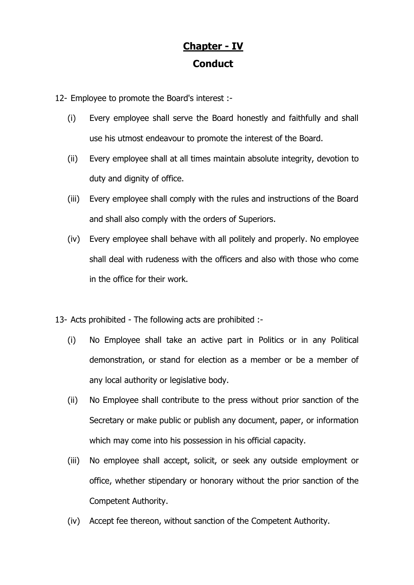## **Chapter - IV Conduct**

12- Employee to promote the Board's interest :-

- (i) Every employee shall serve the Board honestly and faithfully and shall use his utmost endeavour to promote the interest of the Board.
- (ii) Every employee shall at all times maintain absolute integrity, devotion to duty and dignity of office.
- (iii) Every employee shall comply with the rules and instructions of the Board and shall also comply with the orders of Superiors.
- (iv) Every employee shall behave with all politely and properly. No employee shall deal with rudeness with the officers and also with those who come in the office for their work.
- 13- Acts prohibited The following acts are prohibited :-
	- (i) No Employee shall take an active part in Politics or in any Political demonstration, or stand for election as a member or be a member of any local authority or legislative body.
	- (ii) No Employee shall contribute to the press without prior sanction of the Secretary or make public or publish any document, paper, or information which may come into his possession in his official capacity.
	- (iii) No employee shall accept, solicit, or seek any outside employment or office, whether stipendary or honorary without the prior sanction of the Competent Authority.
	- (iv) Accept fee thereon, without sanction of the Competent Authority.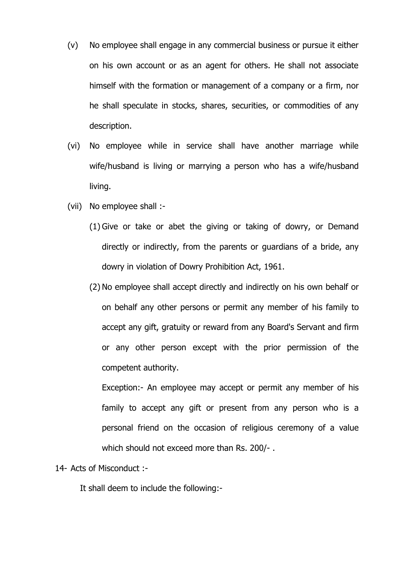- (v) No employee shall engage in any commercial business or pursue it either on his own account or as an agent for others. He shall not associate himself with the formation or management of a company or a firm, nor he shall speculate in stocks, shares, securities, or commodities of any description.
- (vi) No employee while in service shall have another marriage while wife/husband is living or marrying a person who has a wife/husband living.
- (vii) No employee shall :-
	- (1) Give or take or abet the giving or taking of dowry, or Demand directly or indirectly, from the parents or guardians of a bride, any dowry in violation of Dowry Prohibition Act, 1961.
	- (2) No employee shall accept directly and indirectly on his own behalf or on behalf any other persons or permit any member of his family to accept any gift, gratuity or reward from any Board's Servant and firm or any other person except with the prior permission of the competent authority.

Exception:- An employee may accept or permit any member of his family to accept any gift or present from any person who is a personal friend on the occasion of religious ceremony of a value which should not exceed more than Rs. 200/- .

#### 14- Acts of Misconduct :-

It shall deem to include the following:-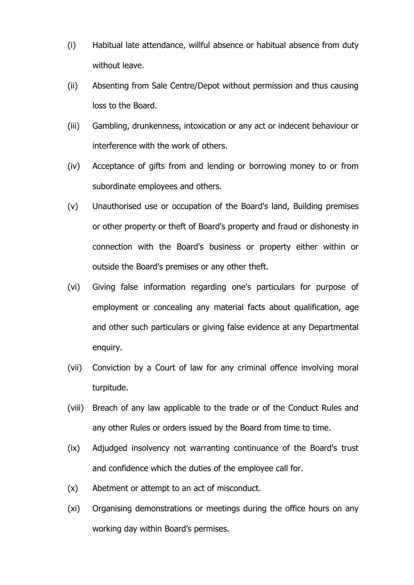- (i) Habitual late attendance, willful absence or habitual absence from duty without leave.
- (ii) Absenting from Sale Centre/Depot without permission and thus causing loss to the Board.
- (iii) Gambling, drunkenness, intoxication or any act or indecent behaviour or interference with the work of others.
- (iv) Acceptance of gifts from and lending or borrowing money to or from subordinate employees and others.
- (v) Unauthorised use or occupation of the Board's land, Building premises or other property or theft of Board's property and fraud or dishonesty in connection with the Board's business or property either within or outside the Board's premises or any other theft.
- (vi) Giving false information regarding one's particulars for purpose of employment or concealing any material facts about qualification, age and other such particulars or giving false evidence at any Departmental enquiry.
- (vii) Conviction by a Court of law for any criminal offence involving moral turpitude.
- (viii) Breach of any law applicable to the trade or of the Conduct Rules and any other Rules or orders issued by the Board from time to time.
- (ix) Adjudged insolvency not warranting continuance of the Board's trust and confidence which the duties of the employee call for.
- (x) Abetment or attempt to an act of misconduct.
- (xi) Organising demonstrations or meetings during the office hours on any working day within Board's permises.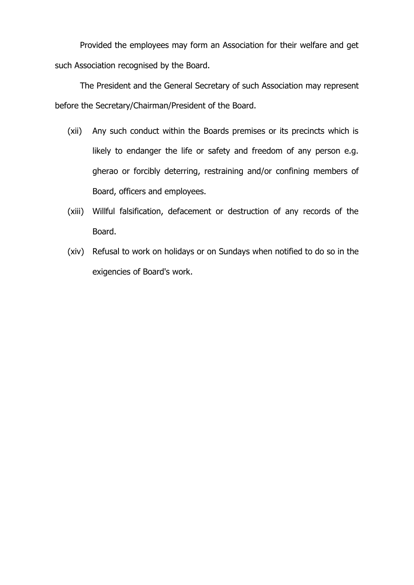Provided the employees may form an Association for their welfare and get such Association recognised by the Board.

The President and the General Secretary of such Association may represent before the Secretary/Chairman/President of the Board.

- (xii) Any such conduct within the Boards premises or its precincts which is likely to endanger the life or safety and freedom of any person e.g. gherao or forcibly deterring, restraining and/or confining members of Board, officers and employees.
- (xiii) Willful falsification, defacement or destruction of any records of the Board.
- (xiv) Refusal to work on holidays or on Sundays when notified to do so in the exigencies of Board's work.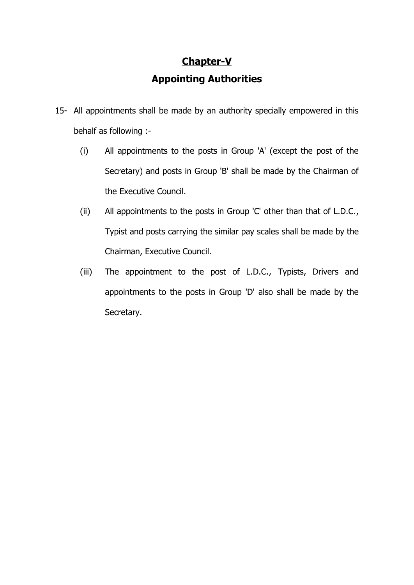# **Chapter-V Appointing Authorities**

- 15- All appointments shall be made by an authority specially empowered in this behalf as following :-
	- (i) All appointments to the posts in Group 'A' (except the post of the Secretary) and posts in Group 'B' shall be made by the Chairman of the Executive Council.
	- (ii) All appointments to the posts in Group 'C' other than that of L.D.C., Typist and posts carrying the similar pay scales shall be made by the Chairman, Executive Council.
	- (iii) The appointment to the post of L.D.C., Typists, Drivers and appointments to the posts in Group 'D' also shall be made by the Secretary.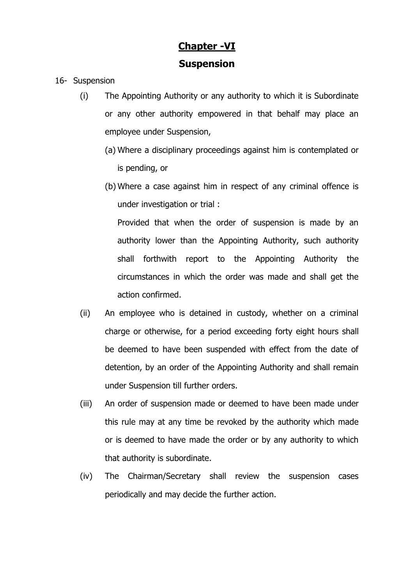## **Chapter -VI Suspension**

- 16- Suspension
	- (i) The Appointing Authority or any authority to which it is Subordinate or any other authority empowered in that behalf may place an employee under Suspension,
		- (a) Where a disciplinary proceedings against him is contemplated or is pending, or
		- (b) Where a case against him in respect of any criminal offence is under investigation or trial :

Provided that when the order of suspension is made by an authority lower than the Appointing Authority, such authority shall forthwith report to the Appointing Authority the circumstances in which the order was made and shall get the action confirmed.

- (ii) An employee who is detained in custody, whether on a criminal charge or otherwise, for a period exceeding forty eight hours shall be deemed to have been suspended with effect from the date of detention, by an order of the Appointing Authority and shall remain under Suspension till further orders.
- (iii) An order of suspension made or deemed to have been made under this rule may at any time be revoked by the authority which made or is deemed to have made the order or by any authority to which that authority is subordinate.
- (iv) The Chairman/Secretary shall review the suspension cases periodically and may decide the further action.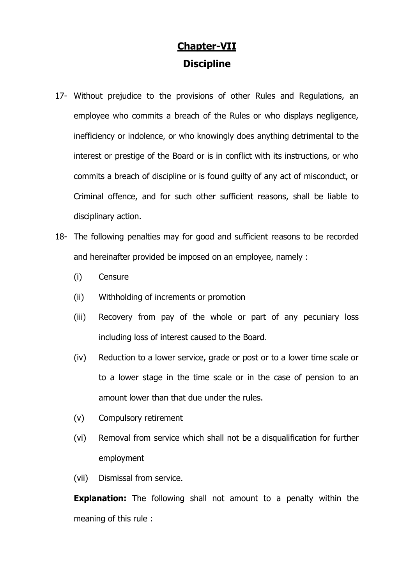## **Chapter-VII Discipline**

- 17- Without prejudice to the provisions of other Rules and Regulations, an employee who commits a breach of the Rules or who displays negligence, inefficiency or indolence, or who knowingly does anything detrimental to the interest or prestige of the Board or is in conflict with its instructions, or who commits a breach of discipline or is found guilty of any act of misconduct, or Criminal offence, and for such other sufficient reasons, shall be liable to disciplinary action.
- 18- The following penalties may for good and sufficient reasons to be recorded and hereinafter provided be imposed on an employee, namely :
	- (i) Censure
	- (ii) Withholding of increments or promotion
	- (iii) Recovery from pay of the whole or part of any pecuniary loss including loss of interest caused to the Board.
	- (iv) Reduction to a lower service, grade or post or to a lower time scale or to a lower stage in the time scale or in the case of pension to an amount lower than that due under the rules.
	- (v) Compulsory retirement
	- (vi) Removal from service which shall not be a disqualification for further employment
	- (vii) Dismissal from service.

**Explanation:** The following shall not amount to a penalty within the meaning of this rule :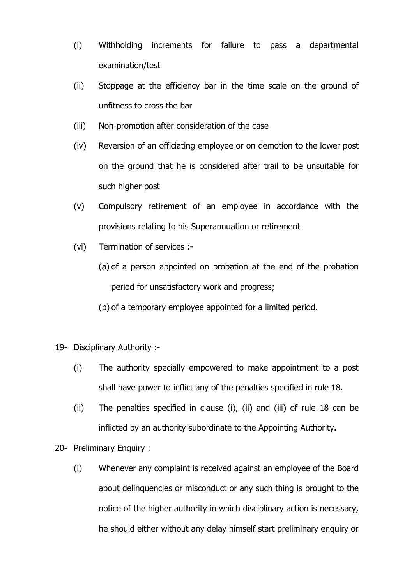- (i) Withholding increments for failure to pass a departmental examination/test
- (ii) Stoppage at the efficiency bar in the time scale on the ground of unfitness to cross the bar
- (iii) Non-promotion after consideration of the case
- (iv) Reversion of an officiating employee or on demotion to the lower post on the ground that he is considered after trail to be unsuitable for such higher post
- (v) Compulsory retirement of an employee in accordance with the provisions relating to his Superannuation or retirement
- (vi) Termination of services :-
	- (a) of a person appointed on probation at the end of the probation period for unsatisfactory work and progress;
	- (b) of a temporary employee appointed for a limited period.
- 19- Disciplinary Authority :-
	- (i) The authority specially empowered to make appointment to a post shall have power to inflict any of the penalties specified in rule 18.
	- (ii) The penalties specified in clause (i), (ii) and (iii) of rule 18 can be inflicted by an authority subordinate to the Appointing Authority.
- 20- Preliminary Enquiry :
	- (i) Whenever any complaint is received against an employee of the Board about delinquencies or misconduct or any such thing is brought to the notice of the higher authority in which disciplinary action is necessary, he should either without any delay himself start preliminary enquiry or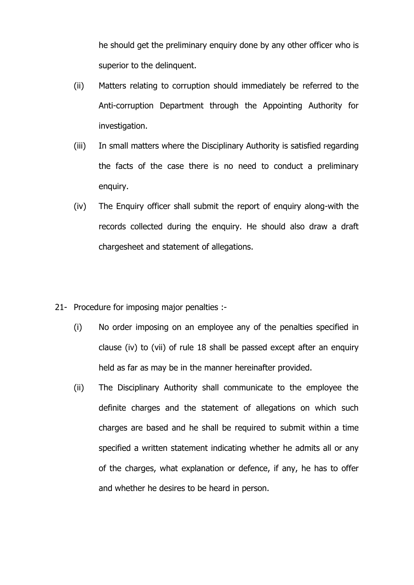he should get the preliminary enquiry done by any other officer who is superior to the delinquent.

- (ii) Matters relating to corruption should immediately be referred to the Anti-corruption Department through the Appointing Authority for investigation.
- (iii) In small matters where the Disciplinary Authority is satisfied regarding the facts of the case there is no need to conduct a preliminary enquiry.
- (iv) The Enquiry officer shall submit the report of enquiry along-with the records collected during the enquiry. He should also draw a draft chargesheet and statement of allegations.
- 21- Procedure for imposing major penalties :-
	- (i) No order imposing on an employee any of the penalties specified in clause (iv) to (vii) of rule 18 shall be passed except after an enquiry held as far as may be in the manner hereinafter provided.
	- (ii) The Disciplinary Authority shall communicate to the employee the definite charges and the statement of allegations on which such charges are based and he shall be required to submit within a time specified a written statement indicating whether he admits all or any of the charges, what explanation or defence, if any, he has to offer and whether he desires to be heard in person.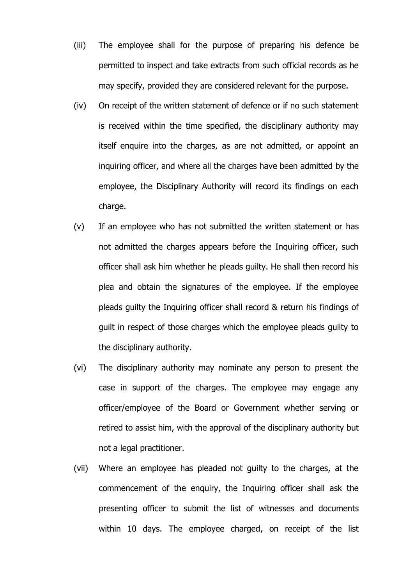- (iii) The employee shall for the purpose of preparing his defence be permitted to inspect and take extracts from such official records as he may specify, provided they are considered relevant for the purpose.
- (iv) On receipt of the written statement of defence or if no such statement is received within the time specified, the disciplinary authority may itself enquire into the charges, as are not admitted, or appoint an inquiring officer, and where all the charges have been admitted by the employee, the Disciplinary Authority will record its findings on each charge.
- (v) If an employee who has not submitted the written statement or has not admitted the charges appears before the Inquiring officer, such officer shall ask him whether he pleads guilty. He shall then record his plea and obtain the signatures of the employee. If the employee pleads guilty the Inquiring officer shall record & return his findings of guilt in respect of those charges which the employee pleads guilty to the disciplinary authority.
- (vi) The disciplinary authority may nominate any person to present the case in support of the charges. The employee may engage any officer/employee of the Board or Government whether serving or retired to assist him, with the approval of the disciplinary authority but not a legal practitioner.
- (vii) Where an employee has pleaded not guilty to the charges, at the commencement of the enquiry, the Inquiring officer shall ask the presenting officer to submit the list of witnesses and documents within 10 days. The employee charged, on receipt of the list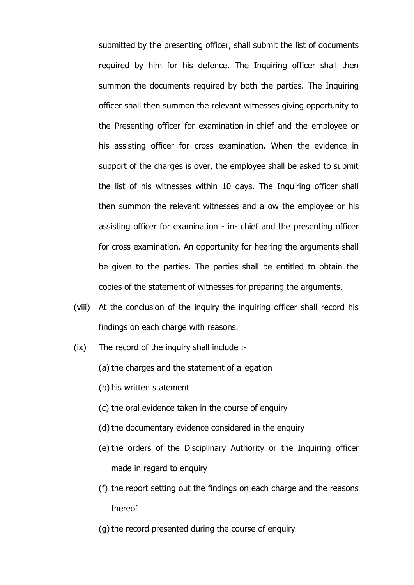submitted by the presenting officer, shall submit the list of documents required by him for his defence. The Inquiring officer shall then summon the documents required by both the parties. The Inquiring officer shall then summon the relevant witnesses giving opportunity to the Presenting officer for examination-in-chief and the employee or his assisting officer for cross examination. When the evidence in support of the charges is over, the employee shall be asked to submit the list of his witnesses within 10 days. The Inquiring officer shall then summon the relevant witnesses and allow the employee or his assisting officer for examination - in- chief and the presenting officer for cross examination. An opportunity for hearing the arguments shall be given to the parties. The parties shall be entitled to obtain the copies of the statement of witnesses for preparing the arguments.

- (viii) At the conclusion of the inquiry the inquiring officer shall record his findings on each charge with reasons.
- (ix) The record of the inquiry shall include :-
	- (a) the charges and the statement of allegation
	- (b) his written statement
	- (c) the oral evidence taken in the course of enquiry
	- (d) the documentary evidence considered in the enquiry
	- (e) the orders of the Disciplinary Authority or the Inquiring officer made in regard to enquiry
	- (f) the report setting out the findings on each charge and the reasons thereof
	- (g) the record presented during the course of enquiry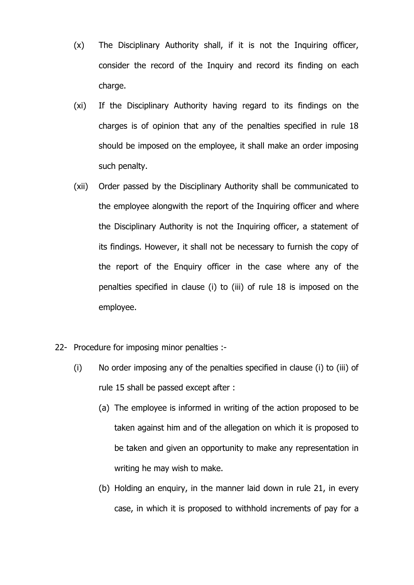- (x) The Disciplinary Authority shall, if it is not the Inquiring officer, consider the record of the Inquiry and record its finding on each charge.
- (xi) If the Disciplinary Authority having regard to its findings on the charges is of opinion that any of the penalties specified in rule 18 should be imposed on the employee, it shall make an order imposing such penalty.
- (xii) Order passed by the Disciplinary Authority shall be communicated to the employee alongwith the report of the Inquiring officer and where the Disciplinary Authority is not the Inquiring officer, a statement of its findings. However, it shall not be necessary to furnish the copy of the report of the Enquiry officer in the case where any of the penalties specified in clause (i) to (iii) of rule 18 is imposed on the employee.
- 22- Procedure for imposing minor penalties :-
	- (i) No order imposing any of the penalties specified in clause (i) to (iii) of rule 15 shall be passed except after :
		- (a) The employee is informed in writing of the action proposed to be taken against him and of the allegation on which it is proposed to be taken and given an opportunity to make any representation in writing he may wish to make.
		- (b) Holding an enquiry, in the manner laid down in rule 21, in every case, in which it is proposed to withhold increments of pay for a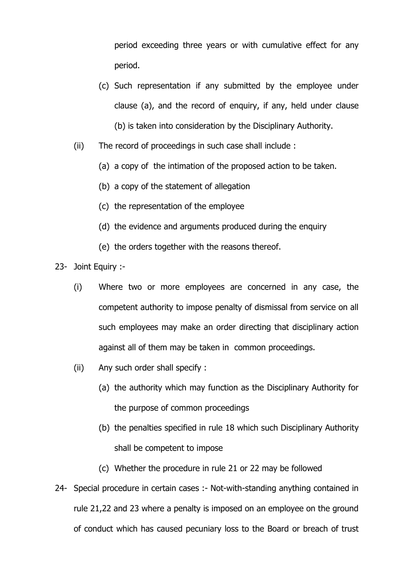period exceeding three years or with cumulative effect for any period.

- (c) Such representation if any submitted by the employee under clause (a), and the record of enquiry, if any, held under clause (b) is taken into consideration by the Disciplinary Authority.
- (ii) The record of proceedings in such case shall include :
	- (a) a copy of the intimation of the proposed action to be taken.
	- (b) a copy of the statement of allegation
	- (c) the representation of the employee
	- (d) the evidence and arguments produced during the enquiry
	- (e) the orders together with the reasons thereof.
- 23- Joint Equiry :-
	- (i) Where two or more employees are concerned in any case, the competent authority to impose penalty of dismissal from service on all such employees may make an order directing that disciplinary action against all of them may be taken in common proceedings.
	- (ii) Any such order shall specify :
		- (a) the authority which may function as the Disciplinary Authority for the purpose of common proceedings
		- (b) the penalties specified in rule 18 which such Disciplinary Authority shall be competent to impose
		- (c) Whether the procedure in rule 21 or 22 may be followed
- 24- Special procedure in certain cases :- Not-with-standing anything contained in rule 21,22 and 23 where a penalty is imposed on an employee on the ground of conduct which has caused pecuniary loss to the Board or breach of trust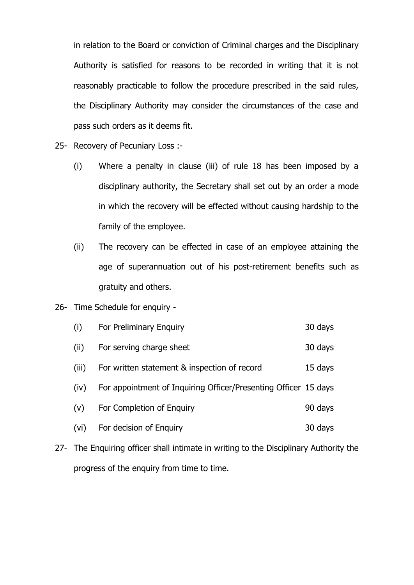in relation to the Board or conviction of Criminal charges and the Disciplinary Authority is satisfied for reasons to be recorded in writing that it is not reasonably practicable to follow the procedure prescribed in the said rules, the Disciplinary Authority may consider the circumstances of the case and pass such orders as it deems fit.

- 25- Recovery of Pecuniary Loss :-
	- (i) Where a penalty in clause (iii) of rule 18 has been imposed by a disciplinary authority, the Secretary shall set out by an order a mode in which the recovery will be effected without causing hardship to the family of the employee.
	- (ii) The recovery can be effected in case of an employee attaining the age of superannuation out of his post-retirement benefits such as gratuity and others.

#### 26- Time Schedule for enquiry -

| (i)   | For Preliminary Enquiry                                         | 30 days |
|-------|-----------------------------------------------------------------|---------|
| (ii)  | For serving charge sheet                                        | 30 days |
| (iii) | For written statement & inspection of record                    | 15 days |
| (iv)  | For appointment of Inquiring Officer/Presenting Officer 15 days |         |
| (v)   | For Completion of Enguiry                                       | 90 days |
| (vi)  | For decision of Enquiry                                         | 30 days |

27- The Enquiring officer shall intimate in writing to the Disciplinary Authority the progress of the enquiry from time to time.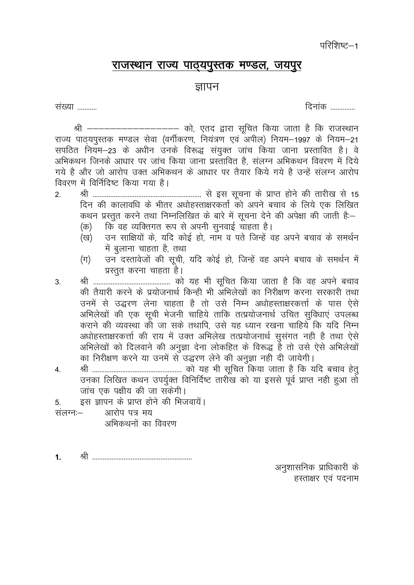परिशिष्ट—1

#### राजस्थान राज्य पाठ्यपुस्तक मण्डल, जयपुर

#### ज्ञापन

संख्या ..........

दिनांक ..............

श्री ------------------ को, एतद द्वारा सूचित किया जाता है कि राजस्थान राज्य पाठयपुस्तक मण्डल सेवा (वर्गीकरण, नियंत्रण एवं अपील) नियम–1997 के नियम–21 सपठित नियम–23 के अधीन उनके विरूद्ध संयुक्त जांच किया जाना प्रस्तावित है। वे अभिकथन जिनके आधार पर जांच किया जाना प्रस्तावित है, संलग्न अभिकथन विवरण में दिये गये है और जो आरोप उक्त अभिकथन के आधार पर तैयार किये गये है उन्हें संलग्न आरोप विवरण में विर्निदिष्ट किया गया है।

- $2<sub>1</sub>$ दिन की कालावधि के भीतर अधोहस्ताक्षरकर्ता को अपने बचाव के लिये एक लिखित कथन प्रस्तुत करने तथा निम्नलिखित के बारे में सूचना देने की अपेक्षा की जाती है:-
	- कि वह व्यक्तिगत रूप से अपनी सुनवाई चाहता है। (क)
	- उन साक्षियों के. यदि कोई हो, नाम व पते जिन्हें वह अपने बचाव के समर्थन (ख) में बलाना चाहता है. तथा
	- उन दस्तावेजों की सूची, यदि कोई हो, जिन्हें वह अपने बचाव के समर्थन में  $(\pi)$ प्रस्तत करना चाहता है।
- $3.$ की तैयारी करने के प्रयोजनार्थ किन्ही भी अभिलेखों का निरीक्षण करना सरकारी तथा उनमें से उद्धरण लेना चाहता है तो उसे निम्न अधोहस्ताक्षरकर्त्ता के पास ऐसे अभिलेखों की एक सूची भेजनी चाहिये ताकि तत्प्रयोजनार्थ उचित सुविधाएं उपलब्ध कराने की व्यवस्था की जा सके तथापि. उसे यह ध्यान रखना चाहिये कि यदि निम्न अधोहस्ताक्षरकर्त्ता की राय में उक्त अभिलेख तत्प्रयोजनार्थ सुसंगत नही है तथा ऐसे .<br>अभिलेखों को दिलवाने की अनुज्ञा देना लोकहित के विरूद्ध है तो उसे ऐसे अभिलेखों का निरीक्षण करने या उनमें से उद्धरण लेने की अनुज्ञा नही दी जायेगी।
- $\overline{4}$ . उनका लिखित कथन उपर्युक्त विनिर्दिष्ट तारीख को या इससे पूर्व प्राप्त नही हुआ तो जांच एक पक्षीय की जा सकेगी।
- इस ज्ञापन के प्राप्त होने की भिजवायें।  $5<sub>1</sub>$
- संलग्न:-आरोप पत्र मय अभिकथनों का विवरण

 $1.$ 

> अनुशासनिक प्राधिकारी के हस्ताक्षर एवं पदनाम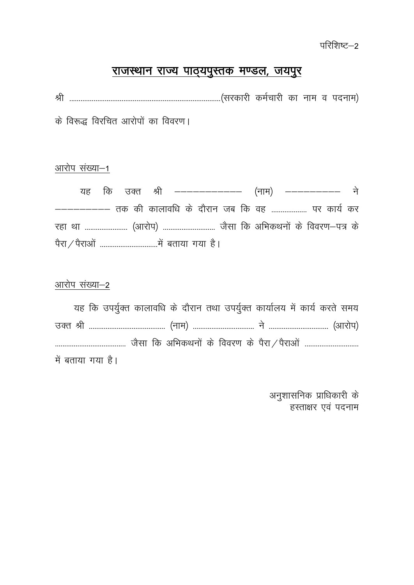परिशिष्ट–2

# राजस्थान राज्य पाठ्यपुस्तक मण्डल, जयपुर

के विरूद्ध विरचित आरोपों का विवरण।

### आरोप संख्या-1

|  |  | यह कि उक्त श्री ------------- (नाम) ----------- ने      |  |  |  |  |  |
|--|--|---------------------------------------------------------|--|--|--|--|--|
|  |  | ---------- तक की कालावधि के दौरान जब कि वह  पर कार्य कर |  |  |  |  |  |
|  |  | रहा था  (आरोप)  जैसा कि अभिकथनों के विवरण-पत्र के       |  |  |  |  |  |
|  |  |                                                         |  |  |  |  |  |

#### आरोप संख्या-2

|  |                   |  |  |  | यह कि उपर्युक्त कालावधि के दौरान तथा उपर्युक्त कार्यालय में कार्य करते समय |  |  |
|--|-------------------|--|--|--|----------------------------------------------------------------------------|--|--|
|  |                   |  |  |  |                                                                            |  |  |
|  |                   |  |  |  |                                                                            |  |  |
|  | में बताया गया है। |  |  |  |                                                                            |  |  |

अनुशासनिक प्राधिकारी के हस्ताक्षर एवं पदनाम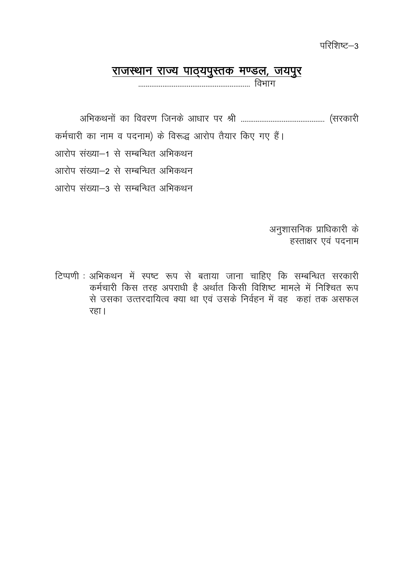परिशिष्ट—3

### <u>राजस्थान राज्य पाठ्यपुस्तक मण्डल, जयपुर</u>

कर्मचारी का नाम व पदनाम) के विरूद्ध आरोप तैयार किए गए हैं। आरोप संख्या–1 से सम्बन्धित अभिकथन आरोप संख्या–2 से सम्बन्धित अभिकथन आरोप संख्या–3 से सम्बन्धित अभिकथन

> अनुशासनिक प्राधिकारी के हस्ताक्षर एवं पदनाम

टिप्पणी : अभिकथन में स्पष्ट रूप से बताया जाना चाहिए कि सम्बन्धित सरकारी कर्मचारी किस तरह अपराधी है अर्थात किसी विशिष्ट मामले में निश्चित रूप से उसका उत्तरदायित्व क्या था एवं उसके निर्वहन में वह कहां तक असफल रहा।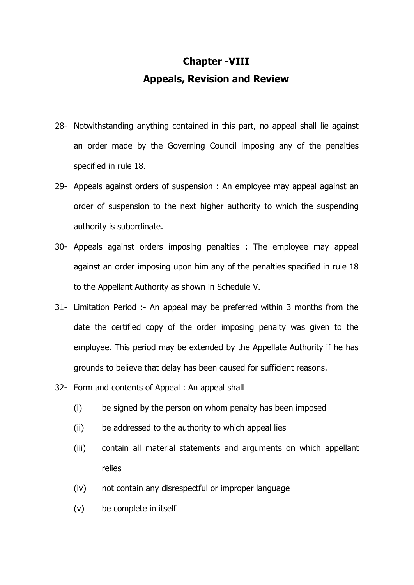# **Chapter -VIII Appeals, Revision and Review**

- 28- Notwithstanding anything contained in this part, no appeal shall lie against an order made by the Governing Council imposing any of the penalties specified in rule 18.
- 29- Appeals against orders of suspension : An employee may appeal against an order of suspension to the next higher authority to which the suspending authority is subordinate.
- 30- Appeals against orders imposing penalties : The employee may appeal against an order imposing upon him any of the penalties specified in rule 18 to the Appellant Authority as shown in Schedule V.
- 31- Limitation Period :- An appeal may be preferred within 3 months from the date the certified copy of the order imposing penalty was given to the employee. This period may be extended by the Appellate Authority if he has grounds to believe that delay has been caused for sufficient reasons.
- 32- Form and contents of Appeal : An appeal shall
	- (i) be signed by the person on whom penalty has been imposed
	- (ii) be addressed to the authority to which appeal lies
	- (iii) contain all material statements and arguments on which appellant relies
	- (iv) not contain any disrespectful or improper language
	- (v) be complete in itself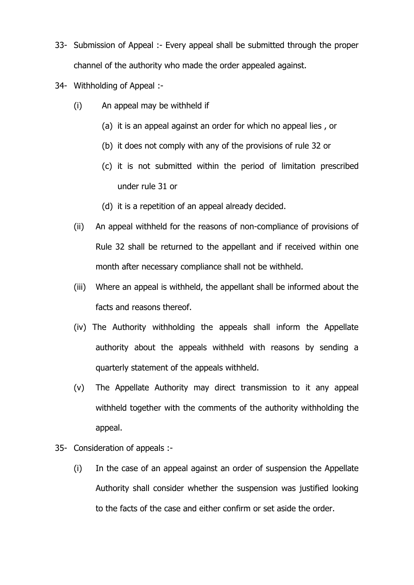- 33- Submission of Appeal :- Every appeal shall be submitted through the proper channel of the authority who made the order appealed against.
- 34- Withholding of Appeal :-
	- (i) An appeal may be withheld if
		- (a) it is an appeal against an order for which no appeal lies , or
		- (b) it does not comply with any of the provisions of rule 32 or
		- (c) it is not submitted within the period of limitation prescribed under rule 31 or
		- (d) it is a repetition of an appeal already decided.
	- (ii) An appeal withheld for the reasons of non-compliance of provisions of Rule 32 shall be returned to the appellant and if received within one month after necessary compliance shall not be withheld.
	- (iii) Where an appeal is withheld, the appellant shall be informed about the facts and reasons thereof.
	- (iv) The Authority withholding the appeals shall inform the Appellate authority about the appeals withheld with reasons by sending a quarterly statement of the appeals withheld.
	- (v) The Appellate Authority may direct transmission to it any appeal withheld together with the comments of the authority withholding the appeal.
- 35- Consideration of appeals :-
	- (i) In the case of an appeal against an order of suspension the Appellate Authority shall consider whether the suspension was justified looking to the facts of the case and either confirm or set aside the order.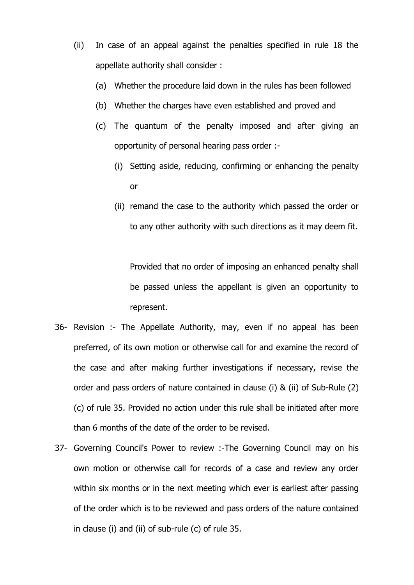- (ii) In case of an appeal against the penalties specified in rule 18 the appellate authority shall consider :
	- (a) Whether the procedure laid down in the rules has been followed
	- (b) Whether the charges have even established and proved and
	- (c) The quantum of the penalty imposed and after giving an opportunity of personal hearing pass order :-
		- (i) Setting aside, reducing, confirming or enhancing the penalty or
		- (ii) remand the case to the authority which passed the order or to any other authority with such directions as it may deem fit.

Provided that no order of imposing an enhanced penalty shall be passed unless the appellant is given an opportunity to represent.

- 36- Revision :- The Appellate Authority, may, even if no appeal has been preferred, of its own motion or otherwise call for and examine the record of the case and after making further investigations if necessary, revise the order and pass orders of nature contained in clause (i) & (ii) of Sub-Rule (2) (c) of rule 35. Provided no action under this rule shall be initiated after more than 6 months of the date of the order to be revised.
- 37- Governing Council's Power to review :-The Governing Council may on his own motion or otherwise call for records of a case and review any order within six months or in the next meeting which ever is earliest after passing of the order which is to be reviewed and pass orders of the nature contained in clause (i) and (ii) of sub-rule (c) of rule 35.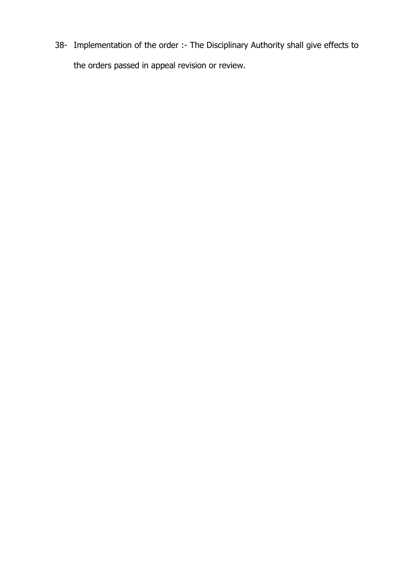38- Implementation of the order :- The Disciplinary Authority shall give effects to the orders passed in appeal revision or review.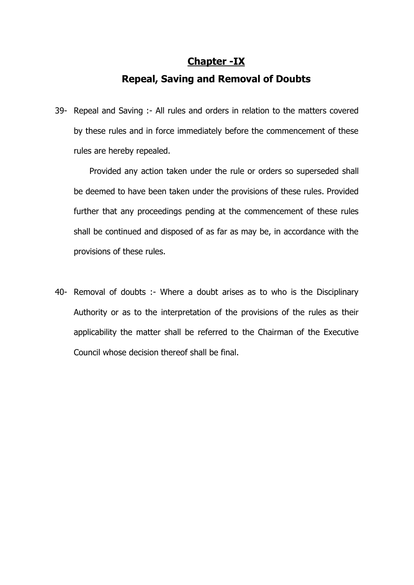#### **Chapter -IX**

### **Repeal, Saving and Removal of Doubts**

39- Repeal and Saving :- All rules and orders in relation to the matters covered by these rules and in force immediately before the commencement of these rules are hereby repealed.

Provided any action taken under the rule or orders so superseded shall be deemed to have been taken under the provisions of these rules. Provided further that any proceedings pending at the commencement of these rules shall be continued and disposed of as far as may be, in accordance with the provisions of these rules.

40- Removal of doubts :- Where a doubt arises as to who is the Disciplinary Authority or as to the interpretation of the provisions of the rules as their applicability the matter shall be referred to the Chairman of the Executive Council whose decision thereof shall be final.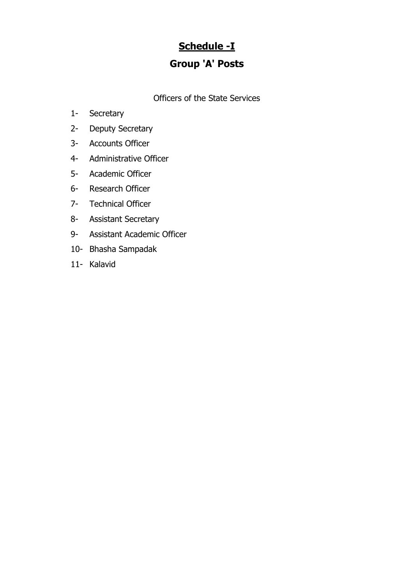## **Schedule -I**

### **Group 'A' Posts**

Officers of the State Services

- 1- Secretary
- 2- Deputy Secretary
- 3- Accounts Officer
- 4- Administrative Officer
- 5- Academic Officer
- 6- Research Officer
- 7- Technical Officer
- 8- Assistant Secretary
- 9- Assistant Academic Officer
- 10- Bhasha Sampadak
- 11- Kalavid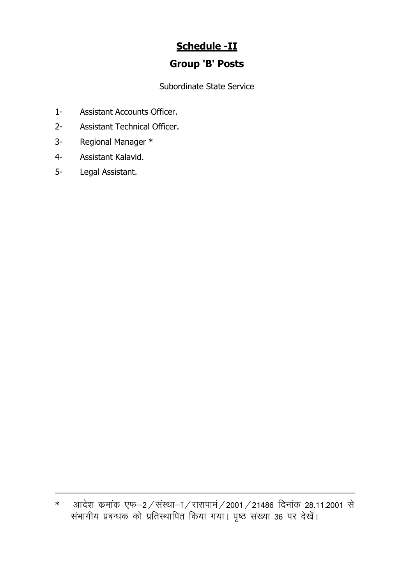## **Schedule -II**

### **Group 'B' Posts**

Subordinate State Service

- $1 -$ Assistant Accounts Officer.
- $2 -$ **Assistant Technical Officer.**
- Regional Manager \*  $3 -$
- Assistant Kalavid.  $4-$
- $5-$ Legal Assistant.

आदेश कमांक एफ–2/संस्था–ा/रारापामं/2001/21486 दिनांक 28.11.2001 से<br>संभागीय प्रबन्धक को प्रतिस्थापित किया गया। पृष्ठ संख्या 36 पर देखें।  $\ast$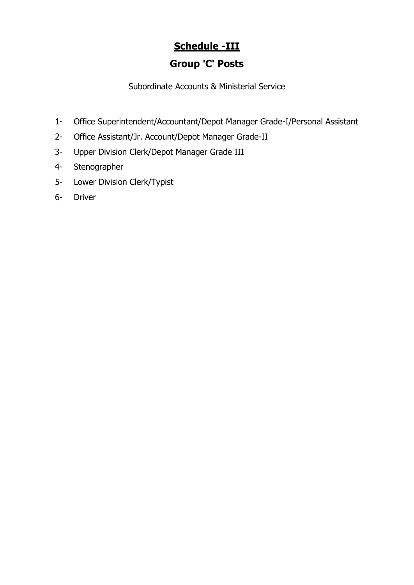## **Schedule -III**

### **Group 'C' Posts**

Subordinate Accounts & Ministerial Service

- 1- Office Superintendent/Accountant/Depot Manager Grade-I/Personal Assistant
- 2- Office Assistant/Jr. Account/Depot Manager Grade-II
- 3- Upper Division Clerk/Depot Manager Grade III
- 4- Stenographer
- 5- Lower Division Clerk/Typist
- 6- Driver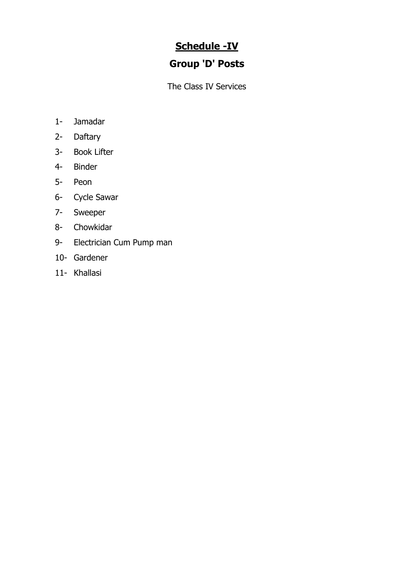## **Schedule -IV**

## **Group 'D' Posts**

The Class IV Services

- 1- Jamadar
- 2- Daftary
- 3- Book Lifter
- 4- Binder
- 5- Peon
- 6- Cycle Sawar
- 7- Sweeper
- 8- Chowkidar
- 9- Electrician Cum Pump man
- 10- Gardener
- 11- Khallasi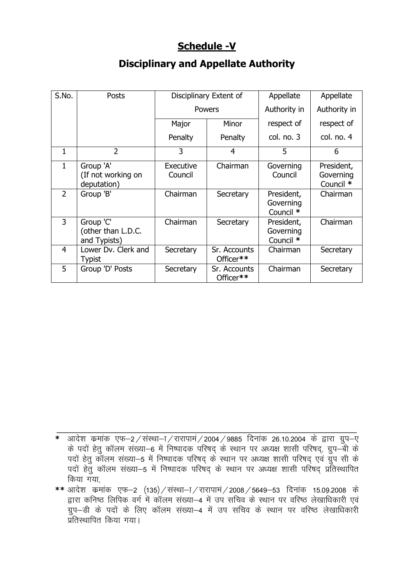### **Schedule -V**

### **Disciplinary and Appellate Authority**

| S.No.          | Posts                                           |                      | Disciplinary Extent of    | Appellate                            | Appellate                            |
|----------------|-------------------------------------------------|----------------------|---------------------------|--------------------------------------|--------------------------------------|
|                |                                                 |                      | <b>Powers</b>             | Authority in                         | Authority in                         |
|                |                                                 | Major                | Minor                     | respect of                           | respect of                           |
|                |                                                 | Penalty              | Penalty                   | col. no. 3                           | col. no. 4                           |
| 1              | $\overline{2}$                                  | 3                    | 4                         | 5                                    | 6                                    |
| 1              | Group 'A'<br>(If not working on<br>deputation)  | Executive<br>Council | Chairman                  | Governing<br>Council                 | President,<br>Governing<br>Council * |
| $\overline{2}$ | Group 'B'                                       | Chairman             | Secretary                 | President,<br>Governing<br>Council * | Chairman                             |
| 3              | Group 'C'<br>(other than L.D.C.<br>and Typists) | Chairman             | Secretary                 | President,<br>Governing<br>Council * | Chairman                             |
| 4              | Lower Dv. Clerk and<br>Typist                   | Secretary            | Sr. Accounts<br>Officer** | Chairman                             | Secretary                            |
| 5              | Group 'D' Posts                                 | Secretary            | Sr. Accounts<br>Officer** | Chairman                             | Secretary                            |

**\*** आदेश क्रमांक एफ–2 ⁄ संस्था–ा ⁄ रारापामं ⁄ 2004 / 9885 दिनांक 26.10.2004 के द्वारा ग्रुप–ए के पदों हेतु कॉलम संख्या–6 में निष्पादक परिषद् के स्थान पर अध्यक्ष शासी परिषद्, ग्रुप–बी के पदों हेतु कॉलम संख्या-5 में निष्पादक परिषद के स्थान पर अध्यक्ष शासी परिषद एवं ग्रुप सी के पदों हेत कॉलम संख्या–5 में निष्पादक परिषद के स्थान पर अध्यक्ष शासी परिषद प्रतिस्थापित किया गया.

\_\_\_\_\_\_\_\_\_\_\_\_\_\_\_\_\_\_\_\_\_\_\_\_\_\_\_\_\_\_\_\_\_\_\_\_\_\_\_\_\_\_\_\_\_\_\_\_\_\_\_\_\_\_\_\_\_\_\_\_\_\_\_\_\_\_

\*\* आदेश कमांक एफ-2 (135) / संस्था-T / रारापामं / 2008 / 5649-53 दिनांक 15.09.2008 के द्वारा कनिष्ठ लिपिक वर्ग में कॉलम संख्या-4 में उप सचिव के स्थान पर वरिष्ठ लेखाधिकारी एवं ग्रुप-डी के पदों के लिए कॉलम संख्या-4 में उप सचिव के स्थान पर वरिष्ठ लेखाधिकारी ्<br>प्रतिस्थापित किया गया।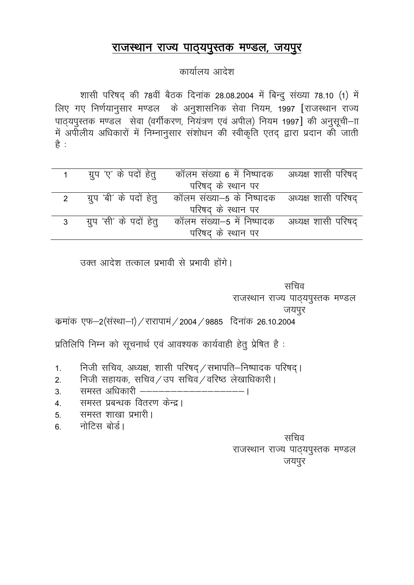#### राजस्थान राज्य पाठ्यपुस्तक मण्डल, जयपुर

### कार्यालय आदेश

शासी परिषद् की 78वीं बैठक दिनांक 28.08.2004 में बिन्दु संख्या 78.10 (1) में लिए गए निर्णयानुसार मण्डल के अनुशासनिक सेवा नियम, 1997 [राजस्थान राज्य पाठ्यपुस्तक मण्डल सेवा (वर्गीकरण, नियंत्रण एवं अपील) नियम 1997] की अनुसूची-गा से अपीलीय अधिकारों में निम्नानुसार संशोधन की स्वीकृति एतद् द्वारा प्रदान की जाती ੜੇ :

|  | ग्रुप 'ए' के पदों हेतु   कॉलम संख्या 6 में निष्पादक   अध्यक्ष शासी परिषद् |  |
|--|---------------------------------------------------------------------------|--|
|  | परिषद् के स्थान पर                                                        |  |
|  | ग्रुप 'बी' के पदों हेतु कॉलम संख्या–5 के निष्पादक अध्यक्ष शासी परिषद्     |  |
|  | परिषद के स्थान पर                                                         |  |
|  | ग्रुप 'सी' के पदों हेतु कॉलम संख्या–5 में निष्पादक अध्यक्ष शासी परिषद्    |  |
|  | परिषद के स्थान पर                                                         |  |

उक्त आदेश तत्काल प्रभावी से प्रभावी होंगे।

सचिव राजस्थान राज्य पाठ्यपुस्तक मण्डल जयपुर कमांक एफ–2(संस्था–ा) / रारापामं / 2004 / 9885 दिनांक 26.10.2004

प्रतिलिपि निम्न को सूचनार्थ एवं आवश्यक कार्यवाही हेतू प्रेषित है:

- 1. Foon सचिव, अध्यक्ष, शासी परिषद् / सभापति–निष्पादक परिषद्।
- 2. निजी सहायक, सचिव $/$ उप सचिव $/$ वरिष्ठ लेखाधिकारी ।
- 3. समस्त अधिकारी ---------------------
- 4. समस्त प्रबन्धक वितरण केन्द्र।
- 5. समस्त शाखा प्रभारी ।
- 6. नोटिस बोर्ड।

सचिव

राजस्थान राज्य पाठ्यपुस्तक मण्डल जयपुर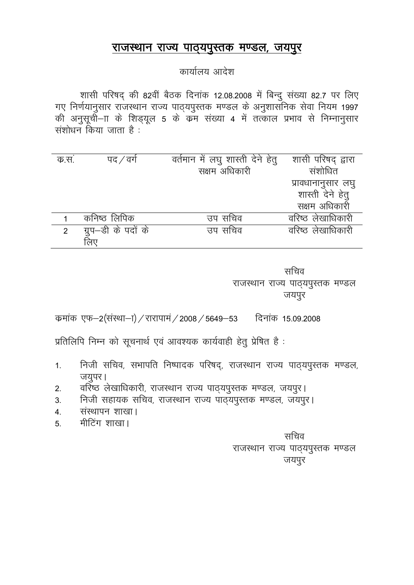#### राजस्थान राज्य पाठ्यपुस्तक मण्डल, जयपुर

#### कार्यालय आदेश

शासी परिषद् की 82वीं बैठक दिनांक 12.08.2008 में बिन्दु संख्या 82.7 पर लिए x, with the set of the set of the set of the set of the source of the source of the source future in the 1997 <br>The solution of the solution of the 1997 )<br>को अनुसूची—ाा के शिड्यूल 5 के कम संख्या 4 में तत्काल प्रभाव से निम्नानुसार संशोधन किया जाता है:

| क.स.           | पद ⁄ वर्ग           | वर्तमान में लघु शास्ती देने हेतु | शासी परिषद् द्वारा |
|----------------|---------------------|----------------------------------|--------------------|
|                |                     | सक्षम अधिकारी                    | संशोधित            |
|                |                     |                                  | प्रावधानानुसार लघु |
|                |                     |                                  | शास्ती देने हेतू   |
|                |                     |                                  | सक्षम अधिकारी      |
|                | कनिष्ठ लिपिक        | उप सचिव                          | वरिष्ठ लेखाधिकारी  |
| $\overline{2}$ | ग्रुप—डी के पदों के | उप सचिव                          | वरिष्ठ लेखाधिकारी  |
|                |                     |                                  |                    |

सचिव राजस्थान राज्य पाठ्यपुस्तक मण्डल जयपुर

कमांक एफ–2(संस्था–ा) / रारापामं / 2008 / 5649–53 दिनांक 15.09.2008

प्रतिलिपि निम्न को सूचनार्थ एवं आवश्यक कार्यवाही हेतु प्रेषित है:

- 1. निजी सचिव, सभापति निष्पादक परिषद्, राजस्थान राज्य पाठ्यपुस्तक मण्डल, जयुपर।
- 2. वरिष्ठ लेखाधिकारी, राजस्थान राज्य पाठ्यपुस्तक मण्डल, जयपुर।
- 3- futh lgk;d lfpo] jktLFkku jkT; ikB~;iqLrd e.My] t;iqjA
- 4. संस्थापन शाखा।
- 5. मीटिंग शाखा।

सचिव राजस्थान राज्य पाठ्यपुस्तक मण्डल जयपुर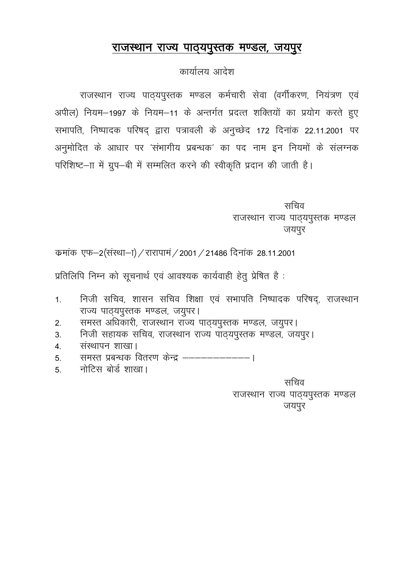#### राजस्थान राज्य पाठ्यपुस्तक मण्डल, जयपुर

#### कार्यालय आदेश

राजस्थान राज्य पाठ्यपुस्तक मण्डल कर्मचारी सेवा (वर्गीकरण, नियंत्रण एवं अपील) नियम-1997 के नियम-11 के अन्तर्गत प्रदत्त शक्तियों का प्रयोग करते हुए सभापति, निष्पादक परिषद् द्वारा पत्रावली के अनुच्छेद 172 दिनांक 22.11.2001 पर अनुमोदित के आधार पर 'संभागीय प्रबन्धक' का पद नाम इन नियमों के संलग्नक परिशिष्ट–ाा में ग्रुप–बी में सम्मलित करने की स्वीकृति प्रदान की जाती है।

> सचिव राजस्थान राज्य पाठ्यपुस्तक मण्डल जयपुर

कमांक एफ-2(संस्था-1) / रारापामं / 2001 / 21486 दिनांक 28.11.2001

प्रतिलिपि निम्न को सूचनार्थ एवं आवश्यक कार्यवाही हेतु प्रेषित है:

- निजी सचिव, शासन सचिव शिक्षा एवं सभापति निष्पादक परिषद्, राजस्थान  $1.$ राज्य पाठ्यपुस्तक मण्डल, जयुपर।
- समस्त अधिकारी, राजस्थान राज्य पाठ्यपुस्तक मण्डल, जयुपर।  $2.$
- निजी सहायक सचिव, राजस्थान राज्य पाठ्यपुस्तक मण्डल, जयपुर।  $3.$
- संस्थापन शाखा।  $\overline{4}$ .
- समस्त प्रबन्धक वितरण केन्द्र -------------- $5<sub>1</sub>$
- नोटिस बोर्ड शाखा।  $5<sup>1</sup>$

सचिव राजस्थान राज्य पाठ्यपुस्तक मण्डल जयपुर